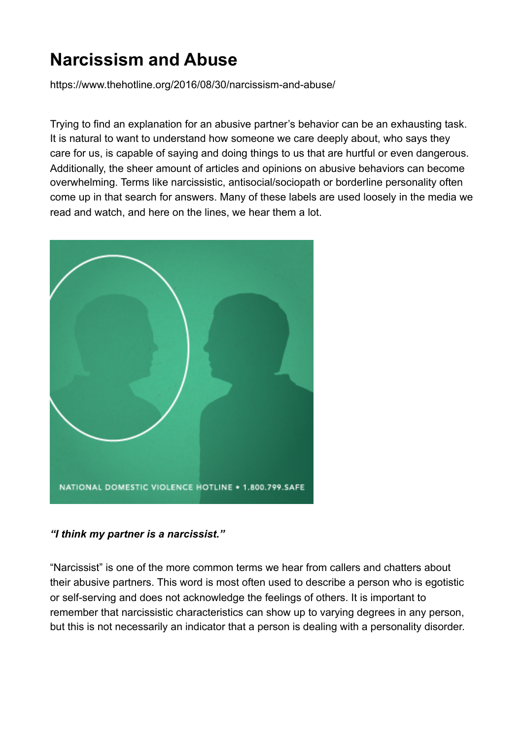## **Narcissism and Abuse**

<https://www.thehotline.org/2016/08/30/narcissism-and-abuse/>

Trying to find an explanation for an abusive partner's behavior can be an exhausting task. It is natural to want to understand how someone we care deeply about, who says they care for us, is capable of saying and doing things to us that are hurtful or even dangerous. Additionally, the sheer amount of articles and opinions on abusive behaviors can become overwhelming. Terms like narcissistic, antisocial/sociopath or borderline personality often come up in that search for answers. Many of these labels are used loosely in the media we read and watch, and here on the lines, we hear them a lot.



## *"I think my partner is a narcissist."*

"Narcissist" is one of the more common terms we hear from callers and chatters about their abusive partners. This word is most often used to describe a person who is egotistic or self-serving and does not acknowledge the feelings of others. It is important to remember that narcissistic characteristics can show up to varying degrees in any person, but this is not necessarily an indicator that a person is dealing with a personality disorder.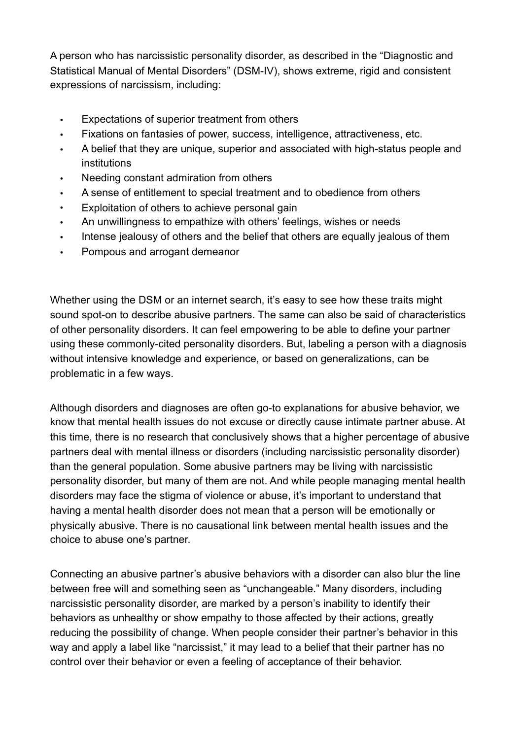A person who has narcissistic personality disorder, as described in the "Diagnostic and Statistical Manual of Mental Disorders" (DSM-IV), shows extreme, rigid and consistent expressions of narcissism, including:

- Expectations of superior treatment from others
- Fixations on fantasies of power, success, intelligence, attractiveness, etc.
- A belief that they are unique, superior and associated with high-status people and institutions
- Needing constant admiration from others
- A sense of entitlement to special treatment and to obedience from others
- Exploitation of others to achieve personal gain
- An unwillingness to empathize with others' feelings, wishes or needs
- Intense jealousy of others and the belief that others are equally jealous of them
- Pompous and arrogant demeanor

Whether using the DSM or an internet search, it's easy to see how these traits might sound spot-on to describe abusive partners. The same can also be said of characteristics of other personality disorders. It can feel empowering to be able to define your partner using these commonly-cited personality disorders. But, labeling a person with a diagnosis without intensive knowledge and experience, or based on generalizations, can be problematic in a few ways.

Although disorders and diagnoses are often go-to explanations for abusive behavior, we know that [mental health issues do not excuse or directly cause intimate partner abuse](https://www.thehotline.org/2015/05/abuse-and-mental-illness-is-there-a-connection/). At this time, there is no research that conclusively shows that a higher percentage of abusive partners deal with mental illness or disorders (including narcissistic personality disorder) than the general population. Some abusive partners may be living with narcissistic personality disorder, but many of them are not. And while people managing mental health disorders may face the stigma of violence or abuse, it's important to understand that having a mental health disorder does not mean that a person will be emotionally or physically abusive. There is no causational link between mental health issues and the choice to abuse one's partner.

Connecting an abusive partner's abusive behaviors with a disorder can also blur the line between free will and something seen as "unchangeable." Many disorders, including narcissistic personality disorder, are marked by a person's inability to identify their behaviors as unhealthy or show empathy to those affected by their actions, greatly reducing the possibility of change. When people consider their partner's behavior in this way and apply a label like "narcissist," it may lead to a belief that their partner has no control over their behavior or even a feeling of acceptance of their behavior.